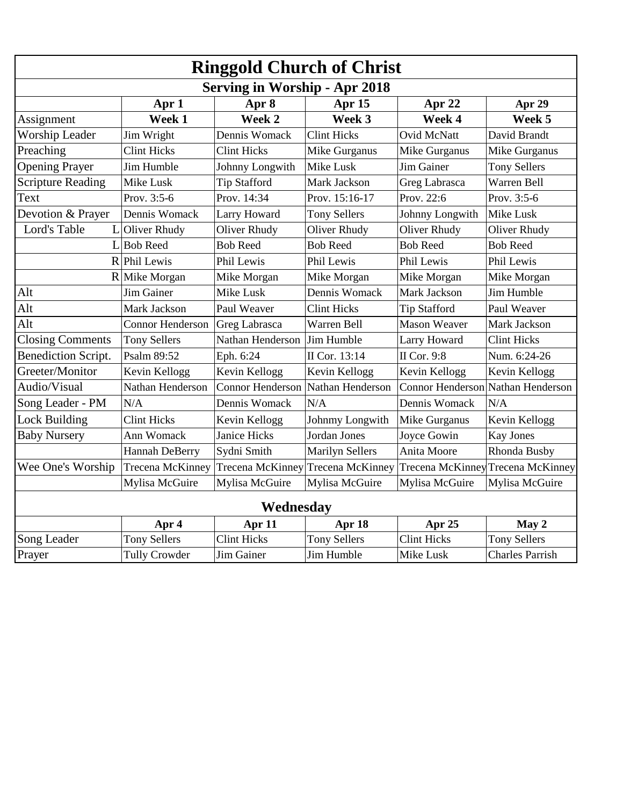| <b>Ringgold Church of Christ</b>     |                         |                     |                         |                         |                         |  |
|--------------------------------------|-------------------------|---------------------|-------------------------|-------------------------|-------------------------|--|
| <b>Serving in Worship - Apr 2018</b> |                         |                     |                         |                         |                         |  |
|                                      | Apr 1                   | Apr 8               | Apr 15                  | Apr 22                  | Apr 29                  |  |
| Assignment                           | Week 1                  | Week 2              | Week 3                  | Week 4                  | Week 5                  |  |
| Worship Leader                       | Jim Wright              | Dennis Womack       | <b>Clint Hicks</b>      | Ovid McNatt             | David Brandt            |  |
| Preaching                            | <b>Clint Hicks</b>      | <b>Clint Hicks</b>  | Mike Gurganus           | Mike Gurganus           | Mike Gurganus           |  |
| <b>Opening Prayer</b>                | Jim Humble              | Johnny Longwith     | Mike Lusk               | Jim Gainer              | <b>Tony Sellers</b>     |  |
| <b>Scripture Reading</b>             | Mike Lusk               | <b>Tip Stafford</b> | Mark Jackson            | Greg Labrasca           | Warren Bell             |  |
| Text                                 | Prov. 3:5-6             | Prov. 14:34         | Prov. 15:16-17          | Prov. 22:6              | Prov. 3:5-6             |  |
| Devotion & Prayer                    | Dennis Womack           | Larry Howard        | <b>Tony Sellers</b>     | Johnny Longwith         | Mike Lusk               |  |
| Lord's Table<br>L                    | Oliver Rhudy            | Oliver Rhudy        | Oliver Rhudy            | Oliver Rhudy            | Oliver Rhudy            |  |
| L                                    | <b>Bob Reed</b>         | <b>Bob Reed</b>     | <b>Bob Reed</b>         | <b>Bob Reed</b>         | <b>Bob Reed</b>         |  |
|                                      | R Phil Lewis            | Phil Lewis          | Phil Lewis              | Phil Lewis              | Phil Lewis              |  |
|                                      | $R$ Mike Morgan         | Mike Morgan         | Mike Morgan             | Mike Morgan             | Mike Morgan             |  |
| Alt                                  | <b>Jim Gainer</b>       | Mike Lusk           | Dennis Womack           | Mark Jackson            | Jim Humble              |  |
| Alt                                  | Mark Jackson            | Paul Weaver         | <b>Clint Hicks</b>      | <b>Tip Stafford</b>     | Paul Weaver             |  |
| Alt                                  | <b>Connor Henderson</b> | Greg Labrasca       | Warren Bell             | <b>Mason Weaver</b>     | Mark Jackson            |  |
| <b>Closing Comments</b>              | <b>Tony Sellers</b>     | Nathan Henderson    | Jim Humble              | Larry Howard            | <b>Clint Hicks</b>      |  |
| <b>Benediction Script.</b>           | Psalm 89:52             | Eph. 6:24           | II Cor. 13:14           | II Cor. 9:8             | Num. 6:24-26            |  |
| Greeter/Monitor                      | Kevin Kellogg           | Kevin Kellogg       | Kevin Kellogg           | Kevin Kellogg           | Kevin Kellogg           |  |
| Audio/Visual                         | Nathan Henderson        | Connor Henderson    | Nathan Henderson        | <b>Connor Henderson</b> | Nathan Henderson        |  |
| Song Leader - PM                     | N/A                     | Dennis Womack       | N/A                     | Dennis Womack           | N/A                     |  |
| <b>Lock Building</b>                 | <b>Clint Hicks</b>      | Kevin Kellogg       | Johnmy Longwith         | Mike Gurganus           | Kevin Kellogg           |  |
| <b>Baby Nursery</b>                  | Ann Womack              | <b>Janice Hicks</b> | Jordan Jones            | Joyce Gowin             | <b>Kay Jones</b>        |  |
|                                      | Hannah DeBerry          | Sydni Smith         | <b>Marilyn Sellers</b>  | Anita Moore             | Rhonda Busby            |  |
| Wee One's Worship                    | Trecena McKinney        | Trecena McKinney    | <b>Trecena McKinney</b> | <b>Trecena McKinney</b> | <b>Trecena McKinney</b> |  |
|                                      | Mylisa McGuire          | Mylisa McGuire      | Mylisa McGuire          | Mylisa McGuire          | Mylisa McGuire          |  |
| Wednesday                            |                         |                     |                         |                         |                         |  |
|                                      | Apr 4                   | Apr 11              | Apr 18                  | Apr 25                  | May 2                   |  |
| Song Leader                          | <b>Tony Sellers</b>     | <b>Clint Hicks</b>  | <b>Tony Sellers</b>     | <b>Clint Hicks</b>      | <b>Tony Sellers</b>     |  |
| Prayer                               | <b>Tully Crowder</b>    | Jim Gainer          | Jim Humble              | Mike Lusk               | <b>Charles Parrish</b>  |  |